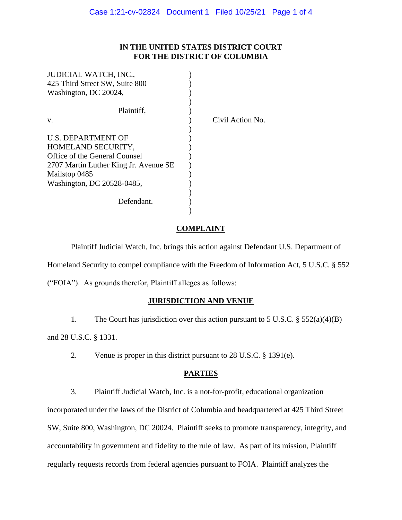# **IN THE UNITED STATES DISTRICT COURT FOR THE DISTRICT OF COLUMBIA**

Action No.

| <b>JUDICIAL WATCH, INC.,</b>          |       |
|---------------------------------------|-------|
| 425 Third Street SW, Suite 800        |       |
| Washington, DC 20024,                 |       |
|                                       |       |
| Plaintiff,                            |       |
| v.                                    | Civil |
|                                       |       |
| U.S. DEPARTMENT OF                    |       |
| HOMELAND SECURITY,                    |       |
| Office of the General Counsel         |       |
| 2707 Martin Luther King Jr. Avenue SE |       |
| Mailstop 0485                         |       |
| Washington, DC 20528-0485,            |       |
|                                       |       |
| Defendant.                            |       |
|                                       |       |

## **COMPLAINT**

Plaintiff Judicial Watch, Inc. brings this action against Defendant U.S. Department of Homeland Security to compel compliance with the Freedom of Information Act, 5 U.S.C. § 552 ("FOIA"). As grounds therefor, Plaintiff alleges as follows:

### **JURISDICTION AND VENUE**

1. The Court has jurisdiction over this action pursuant to 5 U.S.C. § 552(a)(4)(B)

and 28 U.S.C. § 1331.

2. Venue is proper in this district pursuant to 28 U.S.C. § 1391(e).

#### **PARTIES**

3. Plaintiff Judicial Watch, Inc. is a not-for-profit, educational organization incorporated under the laws of the District of Columbia and headquartered at 425 Third Street SW, Suite 800, Washington, DC 20024. Plaintiff seeks to promote transparency, integrity, and accountability in government and fidelity to the rule of law. As part of its mission, Plaintiff regularly requests records from federal agencies pursuant to FOIA. Plaintiff analyzes the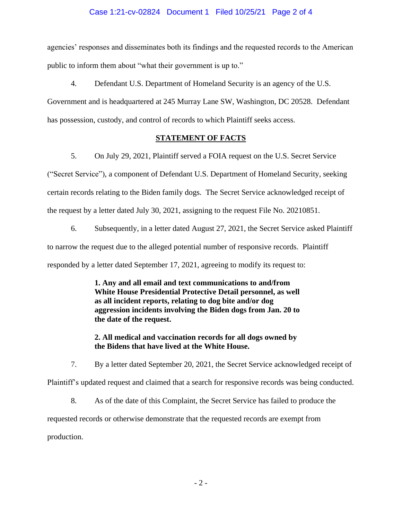## Case 1:21-cv-02824 Document 1 Filed 10/25/21 Page 2 of 4

agencies' responses and disseminates both its findings and the requested records to the American public to inform them about "what their government is up to."

4. Defendant U.S. Department of Homeland Security is an agency of the U.S.

Government and is headquartered at 245 Murray Lane SW, Washington, DC 20528. Defendant has possession, custody, and control of records to which Plaintiff seeks access.

#### **STATEMENT OF FACTS**

5. On July 29, 2021, Plaintiff served a FOIA request on the U.S. Secret Service

("Secret Service"), a component of Defendant U.S. Department of Homeland Security, seeking

certain records relating to the Biden family dogs. The Secret Service acknowledged receipt of

the request by a letter dated July 30, 2021, assigning to the request File No. 20210851.

6. Subsequently, in a letter dated August 27, 2021, the Secret Service asked Plaintiff to narrow the request due to the alleged potential number of responsive records. Plaintiff responded by a letter dated September 17, 2021, agreeing to modify its request to:

> **1. Any and all email and text communications to and/from White House Presidential Protective Detail personnel, as well as all incident reports, relating to dog bite and/or dog aggression incidents involving the Biden dogs from Jan. 20 to the date of the request.**

## **2. All medical and vaccination records for all dogs owned by the Bidens that have lived at the White House.**

7. By a letter dated September 20, 2021, the Secret Service acknowledged receipt of Plaintiff's updated request and claimed that a search for responsive records was being conducted.

8. As of the date of this Complaint, the Secret Service has failed to produce the requested records or otherwise demonstrate that the requested records are exempt from production.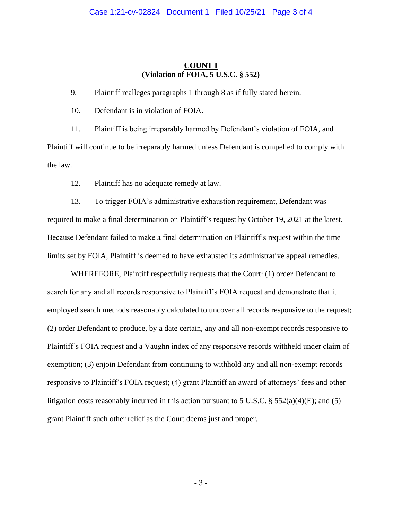#### **COUNT I (Violation of FOIA, 5 U.S.C. § 552)**

9. Plaintiff realleges paragraphs 1 through 8 as if fully stated herein.

10. Defendant is in violation of FOIA.

11. Plaintiff is being irreparably harmed by Defendant's violation of FOIA, and Plaintiff will continue to be irreparably harmed unless Defendant is compelled to comply with the law.

12. Plaintiff has no adequate remedy at law.

13. To trigger FOIA's administrative exhaustion requirement, Defendant was required to make a final determination on Plaintiff's request by October 19, 2021 at the latest. Because Defendant failed to make a final determination on Plaintiff's request within the time limits set by FOIA, Plaintiff is deemed to have exhausted its administrative appeal remedies.

WHEREFORE, Plaintiff respectfully requests that the Court: (1) order Defendant to search for any and all records responsive to Plaintiff's FOIA request and demonstrate that it employed search methods reasonably calculated to uncover all records responsive to the request; (2) order Defendant to produce, by a date certain, any and all non-exempt records responsive to Plaintiff's FOIA request and a Vaughn index of any responsive records withheld under claim of exemption; (3) enjoin Defendant from continuing to withhold any and all non-exempt records responsive to Plaintiff's FOIA request; (4) grant Plaintiff an award of attorneys' fees and other litigation costs reasonably incurred in this action pursuant to 5 U.S.C. § 552(a)(4)(E); and (5) grant Plaintiff such other relief as the Court deems just and proper.